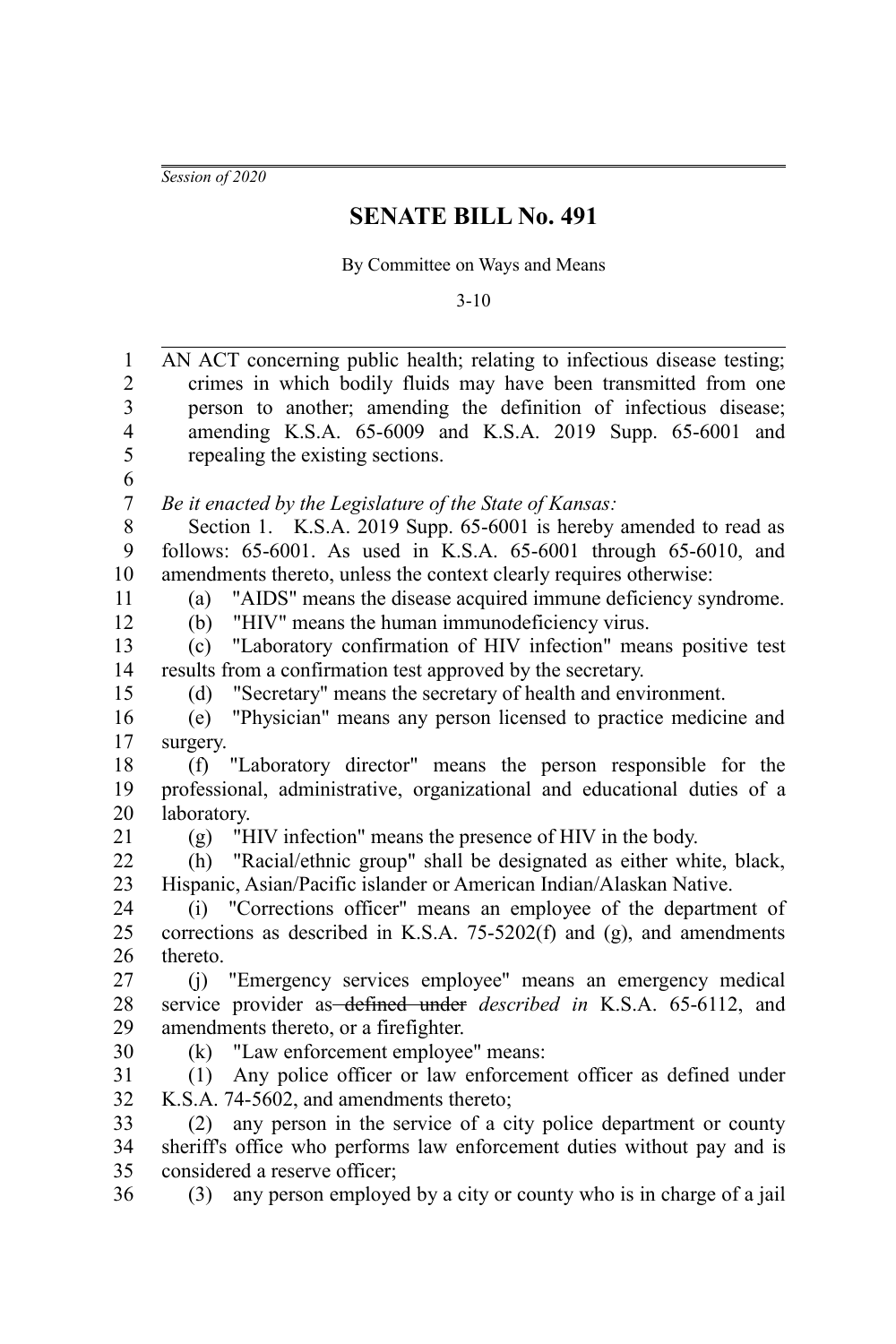*Session of 2020*

## **SENATE BILL No. 491**

By Committee on Ways and Means

3-10

| AN ACT concerning public health; relating to infectious disease testing;  |
|---------------------------------------------------------------------------|
|                                                                           |
| crimes in which bodily fluids may have been transmitted from one          |
| person to another; amending the definition of infectious disease;         |
| amending K.S.A. 65-6009 and K.S.A. 2019 Supp. 65-6001 and                 |
| repealing the existing sections.                                          |
|                                                                           |
| Be it enacted by the Legislature of the State of Kansas:                  |
| Section 1. K.S.A. 2019 Supp. 65-6001 is hereby amended to read as         |
| follows: 65-6001. As used in K.S.A. 65-6001 through 65-6010, and          |
| amendments thereto, unless the context clearly requires otherwise:        |
| "AIDS" means the disease acquired immune deficiency syndrome.<br>(a)      |
| "HIV" means the human immunodeficiency virus.<br>(b)                      |
| "Laboratory confirmation of HIV infection" means positive test<br>(c)     |
| results from a confirmation test approved by the secretary.               |
| "Secretary" means the secretary of health and environment.<br>(d)         |
| "Physician" means any person licensed to practice medicine and<br>(e)     |
| surgery.                                                                  |
| "Laboratory director" means the person responsible for the<br>(f)         |
| professional, administrative, organizational and educational duties of a  |
| laboratory.                                                               |
| "HIV infection" means the presence of HIV in the body.<br>(g)             |
| "Racial/ethnic group" shall be designated as either white, black,<br>(h)  |
| Hispanic, Asian/Pacific islander or American Indian/Alaskan Native.       |
| (i) "Corrections officer" means an employee of the department of          |
| corrections as described in K.S.A. 75-5202(f) and (g), and amendments     |
| thereto.                                                                  |
| (j) "Emergency services employee" means an emergency medical              |
| service provider as-defined under <i>described</i> in K.S.A. 65-6112, and |
| amendments thereto, or a firefighter.                                     |
| "Law enforcement employee" means:<br>(k)                                  |
| Any police officer or law enforcement officer as defined under<br>(1)     |
| K.S.A. 74-5602, and amendments thereto;                                   |
| any person in the service of a city police department or county<br>(2)    |
| sheriff's office who performs law enforcement duties without pay and is   |
| considered a reserve officer;                                             |
| any person employed by a city or county who is in charge of a jail<br>(3) |
|                                                                           |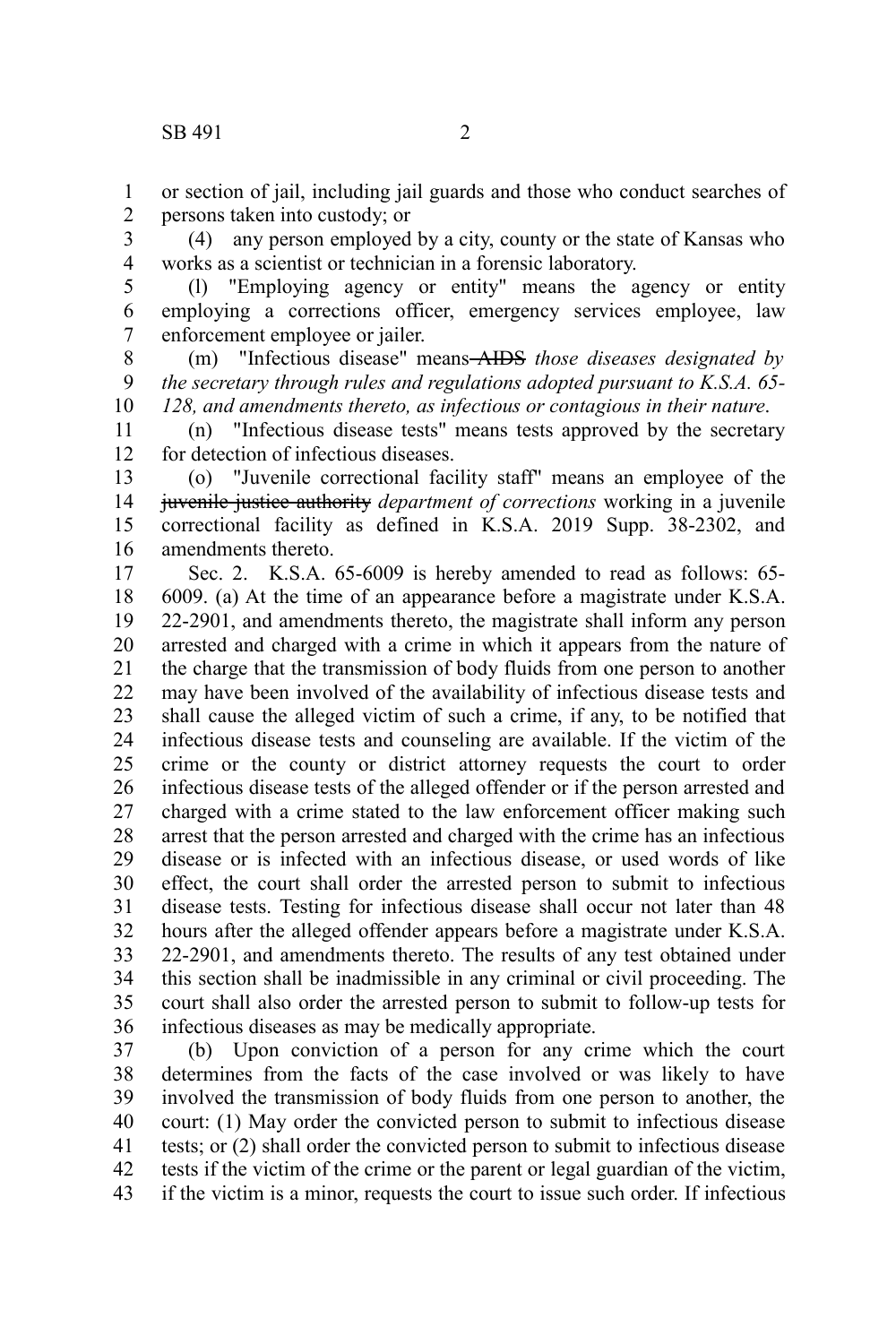or section of jail, including jail guards and those who conduct searches of persons taken into custody; or 1 2

(4) any person employed by a city, county or the state of Kansas who works as a scientist or technician in a forensic laboratory. 3 4

(l) "Employing agency or entity" means the agency or entity employing a corrections officer, emergency services employee, law enforcement employee or jailer. 5 6 7

(m) "Infectious disease" means AIDS *those diseases designated by the secretary through rules and regulations adopted pursuant to K.S.A. 65- 128, and amendments thereto, as infectious or contagious in their nature*. 8 9 10

(n) "Infectious disease tests" means tests approved by the secretary for detection of infectious diseases. 11 12

(o) "Juvenile correctional facility staff" means an employee of the juvenile justice authority *department of corrections* working in a juvenile correctional facility as defined in K.S.A. 2019 Supp. 38-2302, and amendments thereto. 13 14 15 16

Sec. 2. K.S.A. 65-6009 is hereby amended to read as follows: 65- 6009. (a) At the time of an appearance before a magistrate under K.S.A. 22-2901, and amendments thereto, the magistrate shall inform any person arrested and charged with a crime in which it appears from the nature of the charge that the transmission of body fluids from one person to another may have been involved of the availability of infectious disease tests and shall cause the alleged victim of such a crime, if any, to be notified that infectious disease tests and counseling are available. If the victim of the crime or the county or district attorney requests the court to order infectious disease tests of the alleged offender or if the person arrested and charged with a crime stated to the law enforcement officer making such arrest that the person arrested and charged with the crime has an infectious disease or is infected with an infectious disease, or used words of like effect, the court shall order the arrested person to submit to infectious disease tests. Testing for infectious disease shall occur not later than 48 hours after the alleged offender appears before a magistrate under K.S.A. 22-2901, and amendments thereto. The results of any test obtained under this section shall be inadmissible in any criminal or civil proceeding. The court shall also order the arrested person to submit to follow-up tests for infectious diseases as may be medically appropriate. 17 18 19 20 21 22 23 24 25 26 27 28 29 30 31 32 33 34 35 36

(b) Upon conviction of a person for any crime which the court determines from the facts of the case involved or was likely to have involved the transmission of body fluids from one person to another, the court: (1) May order the convicted person to submit to infectious disease tests; or (2) shall order the convicted person to submit to infectious disease tests if the victim of the crime or the parent or legal guardian of the victim, if the victim is a minor, requests the court to issue such order. If infectious 37 38 39 40 41 42 43